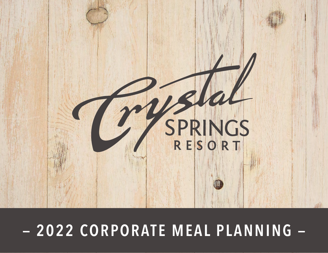

# **TheCrystalSpringsResort.com | Sussex County, New Jersey | 2022 — 2022 CORPORATE MEAL PLANNING —**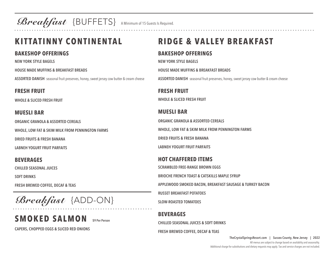Breakfast {BUFFETS} A Minimum of 15 Guests Is Required.

## **KITTATINNY CONTINENTAL**

### **BAKESHOP OFFERINGS**

**NEW YORK STYLE BAGELS**

**HOUSE MADE MUFFINS & BREAKFAST BREADS**

**ASSORTED DANISH** seasonal fruit preserves, honey, sweet jersey cow butter & cream cheese

### **FRESH FRUIT**

**WHOLE & SLICED FRESH FRUIT** 

### **MUESLI BAR**

**ORGANIC GRANOLA & ASSORTED CEREALS**

**WHOLE, LOW FAT & SKIM MILK FROM PENNINGTON FARMS**

**DRIED FRUITS & FRESH BANANA**

**LABNEH YOGURT FRUIT PARFAITS**

**BEVERAGES**

**CHILLED SEASONAL JUICES**

**SOFT DRINKS**

**FRESH BREWED COFFEE, DECAF & TEAS**

Breakfast {ADD-ON}

## **SMOKED SALMON** \$9 Per Person

**CAPERS, CHOPPED EGGS & SLICED RED ONIONS**

## **RIDGE & VALLEY BREAKFAST**

### **BAKESHOP OFFERINGS**

**NEW YORK STYLE BAGELS**

**HOUSE MADE MUFFINS & BREAKFAST BREADS**

**ASSORTED DANISH** seasonal fruit preserves, honey, sweet jersey cow butter & cream cheese

## **FRESH FRUIT**

**WHOLE & SLICED FRESH FRUIT**

### **MUESLI BAR**

**ORGANIC GRANOLA & ASSORTED CEREALS WHOLE, LOW FAT & SKIM MILK FROM PENNINGTON FARMS DRIED FRUITS & FRESH BANANA LABNEH YOGURT FRUIT PARFAITS**

### **HOT CHAFFERED ITEMS**

**SCRAMBLED FREE-RANGE BROWN EGGS**

**BRIOCHE FRENCH TOAST & CATSKILLS MAPLE SYRUP**

**APPLEWOOD SMOKED BACON, BREAKFAST SAUSAGE & TURKEY BACON**

**RUSSET BREAKFAST POTATOES**

**SLOW-ROASTED TOMATOES**

### **BEVERAGES**

**CHILLED SEASONAL JUICES & SOFT DRINKS**

#### **FRESH BREWED COFFEE, DECAF & TEAS**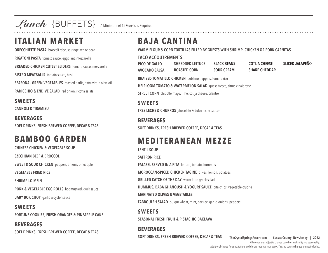Lunch {BUFFETS} A Minimum of 15 Guests Is Required.

### **ITALIAN MARKET**

**ORECCHIETTE PASTA** broccoli rabe, sausage, white bean

**RIGATONI PASTA** tomato sauce, eggplant, mozzarella

**BREADED CHICKEN CUTLET SLIDERS** tomato sauce, mozzarella

**BISTRO MEATBALLS** tomato sauce, basil

**SEASONAL GREEN VEGETABLES** roasted garlic, extra virgin olive oil

**RADICCHIO & ENDIVE SALAD** red onion, ricotta salata

**SWEETS CANNOLI & TIRAMISU**

**BEVERAGES SOFT DRINKS, FRESH BREWED COFFEE, DECAF & TEAS**

## **BAMBOO GARDEN**

**CHINESE CHICKEN & VEGETABLE SOUP**

**SZECHUAN BEEF & BROCCOLI**

**SWEET & SOUR CHICKEN** peppers, onions, pineapple

**VEGETABLE FRIED RICE**

**SHRIMP LO MEIN**

**PORK & VEGETABLE EGG ROLLS** hot mustard, duck sauce

**BABY BOK CHOY** garlic & oyster sauce

#### **SWEETS FORTUNE COOKIES, FRESH ORANGES & PINEAPPLE CAKE**

**BEVERAGES SOFT DRINKS, FRESH BREWED COFFEE, DECAF & TEAS**

## **BAJA CANTINA**

**WARM FLOUR & CORN TORTILLAS FILLED BY GUESTS WITH SHRIMP, CHICKEN OR PORK CARNITAS** 

#### **TACO ACCOUTREMENTS:**

| <b>PICO DE GALLO</b> | <b>SHREDDED LETTUCE</b> | <b>BLACK BEANS</b> | <b>COTIJA CHEESE</b> | <b>SLICED JALAPENO</b> |
|----------------------|-------------------------|--------------------|----------------------|------------------------|
| <b>AVOCADO SALSA</b> | <b>ROASTED CORN</b>     | <b>SOUR CREAM</b>  | <b>SHARP CHEDDAR</b> |                        |

**BRAISED TOMATILLO CHICKEN** poblano peppers, tomato rice

**HEIRLOOM TOMATO & WATERMELON SALAD** queso fresco, citrus vinaigrette

**STREET CORN** chipotle mayo, lime, cotija cheese, cilantro

#### **SWEETS TRES LECHE & CHURROS** {chocolate & dulce leche sauce}

**BEVERAGES SOFT DRINKS, FRESH BREWED COFFEE, DECAF & TEAS**

## **MEDITERANEAN MEZZE**

**LENTIL SOUP SAFFRON RICE FALAFEL SERVED IN A PITA** lettuce, tomato, hummus **MOROCCAN-SPICED CHICKEN TAGINE** olives, lemon, potatoes **GRILLED CATCH OF THE DAY** warm farro greek salad **HUMMUS, BABA GHANOUSH & YOGURT SAUCE** pita chips, vegetable crudité **MARINATED OLIVES & VEGETABLES TABBOULEH SALAD** bulgur wheat, mint, parsley, garlic, onions, peppers

**SWEETS SEASONAL FRESH FRUIT & PISTACHIO BAKLAVA**

**BEVERAGES SOFT DRINKS, FRESH BREWED COFFEE, DECAF & TEAS**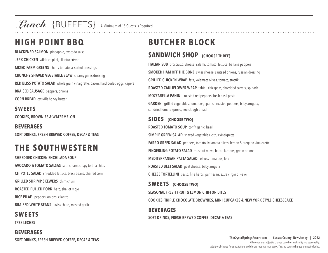Lunch {BUFFETS} A Minimum of 15 Guests Is Required.

## **HIGH POINT BBQ**

**BLACKENED SALMON** pineapple, avocado salsa **JERK CHICKEN** wild rice pilaf, cilantro crème **MIXED FARM GREENS** cherry tomato, assorted dressings **CRUNCHY SHAVED VEGETABLE SLAW** creamy garlic dressing **RED BLISS POTATO SALAD** whole grain vinaigrette, bacon, hard boiled eggs, capers **BRAISED SAUSAGE** peppers, onions **CORN BREAD** catskills honey butter

**SWEETS COOKIES, BROWNIES & WATERMELON**

**BEVERAGES SOFT DRINKS, FRESH BREWED COFFEE, DECAF & TEAS**

## **THE SOUTHWESTERN**

**SHREDDED CHICKEN ENCHILADA SOUP AVOCADO & TOMATO SALSAS** sour cream, crispy tortilla chips **CHIPOTLE SALAD** shredded lettuce, black beans, charred corn **GRILLED SHRIMP SKEWERS** chimichurri **ROASTED PULLED PORK** herb, shallot mojo **RICE PILAF** peppers, onions, cilantro **BRAISED WHITE BEANS** swiss chard, roasted garlic

### **SWEETS**

**TRES LECHES**

**BEVERAGES SOFT DRINKS, FRESH BREWED COFFEE, DECAF & TEAS**

## **BUTCHER BLOCK**

### **SANDWICH SHOP {CHOOSE THREE}**

**ITALIAN SUB** prosciutto, cheese, salami, tomato, lettuce, banana peppers **SMOKED HAM OFF THE BONE** swiss cheese, sautéed onions, russian dressing **GRILLED CHICKEN WRAP** feta, kalamata olives, tomato, tzatziki **ROASTED CAULIFLOWER WRAP** tahini, chickpeas, shredded carrots, spinach **MOZZARELLA PANINI** roasted red peppers, fresh basil pesto **GARDEN** grilled vegetables, tomatoes, spanish roasted peppers, baby arugula, sundried tomato spread, sourdough bread **SIDES {CHOOSE TWO} ROASTED TOMATO SOUP** confit garlic, basil

**SIMPLE GREEN SALAD** shaved vegetables, citrus vinaigrette

**FARRO GREEK SALAD** peppers, tomato, kalamata olives, lemon & oregano vinaigrette

**FINGERLING POTATO SALAD** mustard mayo, bacon lardons, green onions

**MEDITERRANEAN PASTA SALAD** olives, tomatoes, feta

**ROASTED BEET SALAD** goat cheese, baby arugula

**CHEESE TORTELLINI** pesto, fine herbs, parmesan, extra virgin olive oil

**SWEETS {CHOOSE TWO} SEASONAL FRESH FRUIT & LEMON CHIFFON BITES COOKIES, TRIPLE CHOCOLATE BROWNIES, MINI CUPCAKES & NEW YORK STYLE CHEESECAKE BEVERAGES**

**SOFT DRINKS, FRESH BREWED COFFEE, DECAF & TEAS**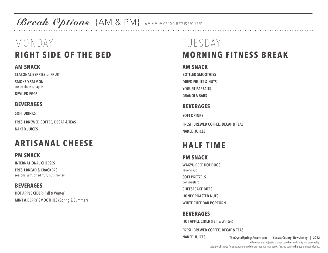Break Options {AM & PM} A MINIMUM OF 10 GUESTS IS REQUIRED.

## MONDAY **RIGHT SIDE OF THE BED**

#### **AM SNACK**

**SEASONAL BERRIES or FRUIT SMOKED SALMON**

cream cheese, bagels

**DEVILED EGGS**

### **BEVERAGES**

**SOFT DRINKS**

**FRESH BREWED COFFEE, DECAF & TEAS NAKED JUICES**

## **ARTISANAL CHEESE**

#### **PM SNACK**

**INTERNATIONAL CHEESES**

**FRESH BREAD & CRACKERS** seasonal jam, dried fruit, nuts, honey

#### **BEVERAGES HOT APPLE CIDER** {Fall & Winter}

**MINT & BERRY SMOOTHIES** {Spring & Summer}

## TUESDAY **MORNING FITNESS BREAK**

#### **AM SNACK**

**BOTTLED SMOOTHIES DRIED FRUITS & NUTS YOGURT PARFAITS GRANOLA BARS**

### **BEVERAGES**

**SOFT DRINKS FRESH BREWED COFFEE, DECAF & TEAS NAKED JUICES**

## **HALF TIME**

#### **PM SNACK WAGYU BEEF HOT DOGS**  sauerkraut

**SOFT PRETZELS**  deli mustard

**CHEESECAKE BITES**

**HONEY ROASTED NUTS**

**WHITE CHEDDAR POPCORN**

### **BEVERAGES**

**HOT APPLE CIDER** {Fall & Winter}

**FRESH BREWED COFFEE, DECAF & TEAS**

**NAKED JUICES**